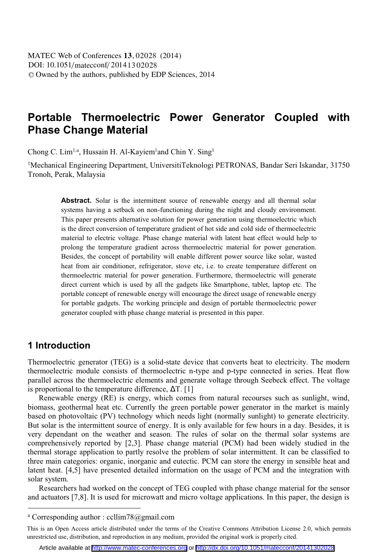# **Portable Thermoelectric Power Generator Coupled with Phase Change Material**

Chong C. Lim<sup>1,a</sup>, Hussain H. Al-Kayiem<sup>1</sup>and Chin Y. Sing<sup>1</sup>

<sup>1</sup>Mechanical Engineering Department, UniversitiTeknologi PETRONAS, Bandar Seri Iskandar, 31750 Tronoh, Perak, Malaysia

> Abstract. Solar is the intermittent source of renewable energy and all thermal solar systems having a setback on non-functioning during the night and cloudy environment. This paper presents alternative solution for power generation using thermoelectric which is the direct conversion of temperature gradient of hot side and cold side of thermoelectric material to electric voltage. Phase change material with latent heat effect would help to prolong the temperature gradient across thermoelectric material for power generation. Besides, the concept of portability will enable different power source like solar, wasted heat from air conditioner, refrigerator, stove etc, i.e. to create temperature different on thermoelectric material for power generation. Furthermore, thermoelectric will generate direct current which is used by all the gadgets like Smartphone, tablet, laptop etc. The portable concept of renewable energy will encourage the direct usage of renewable energy for portable gadgets. The working principle and design of portable thermoelectric power generator coupled with phase change material is presented in this paper.

### **1 Introduction**

 $\overline{a}$ 

Thermoelectric generator (TEG) is a solid-state device that converts heat to electricity. The modern thermoelectric module consists of thermoelectric n-type and p-type connected in series. Heat flow parallel across the thermoelectric elements and generate voltage through Seebeck effect. The voltage is proportional to the temperature difference,  $\Delta T$ . [1]

Renewable energy (RE) is energy, which comes from natural recourses such as sunlight, wind, biomass, geothermal heat etc. Currently the green portable power generator in the market is mainly based on photovoltaic (PV) technology which needs light (normally sunlight) to generate electricity. But solar is the intermittent source of energy. It is only available for few hours in a day. Besides, it is very dependant on the weather and season. The rules of solar on the thermal solar systems are comprehensively reported by [2,3]. Phase change material (PCM) had been widely studied in the thermal storage application to partly resolve the problem of solar intermittent. It can be classified to three main categories: organic, inorganic and eutectic. PCM can store the energy in sensible heat and latent heat. [4,5] have presented detailed information on the usage of PCM and the integration with solar system.

Researchers had worked on the concept of TEG coupled with phase change material for the sensor and actuators [7,8]. It is used for microwatt and micro voltage applications. In this paper, the design is

a Corresponding author : ccllim78@gmail.com

This is an Open Access article distributed under the terms of the Creative Commons Attribution License 2.0, which permits unrestricted use, distribution, and reproduction in any medium, provided the original work is properly cited.

Article available at <http://www.matec-conferences.org> or <http://dx.doi.org/10.1051/matecconf/20141302028>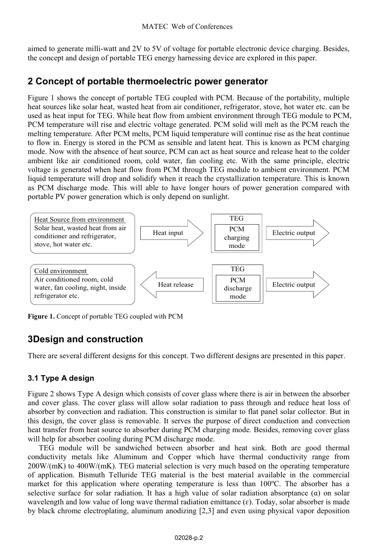aimed to generate milli-watt and 2V to 5V of voltage for portable electronic device charging. Besides, the concept and design of portable TEG energy harnessing device are explored in this paper.

### **2 Concept of portable thermoelectric power generator**

Figure 1 shows the concept of portable TEG coupled with PCM. Because of the portability, multiple heat sources like solar heat, wasted heat from air conditioner, refrigerator, stove, hot water etc. can be used as heat input for TEG. While heat flow from ambient environment through TEG module to PCM, PCM temperature will rise and electric voltage generated. PCM solid will melt as the PCM reach the melting temperature. After PCM melts, PCM liquid temperature will continue rise as the heat continue to flow in. Energy is stored in the PCM as sensible and latent heat. This is known as PCM charging mode. Now with the absence of heat source, PCM can act as heat source and release heat to the colder ambient like air conditioned room, cold water, fan cooling etc. With the same principle, electric voltage is generated when heat flow from PCM through TEG module to ambient environment. PCM liquid temperature will drop and solidify when it reach the crystallization temperature. This is known as PCM discharge mode. This will able to have longer hours of power generation compared with portable PV power generation which is only depend on sunlight.



**Figure 1.** Concept of portable TEG coupled with PCM

## **3Design and construction**

There are several different designs for this concept. Two different designs are presented in this paper.

### **3.1 Type A design**

Figure 2 shows Type A design which consists of cover glass where there is air in between the absorber and cover glass. The cover glass will allow solar radiation to pass through and reduce heat loss of absorber by convection and radiation. This construction is similar to flat panel solar collector. But in this design, the cover glass is removable. It serves the purpose of direct conduction and convection heat transfer from heat source to absorber during PCM charging mode. Besides, removing cover glass will help for absorber cooling during PCM discharge mode.

TEG module will be sandwiched between absorber and heat sink. Both are good thermal conductivity metals like Aluminum and Copper which have thermal conductivity range from 200W/(mK) to 400W/(mK). TEG material selection is very much based on the operating temperature of application. Bismuth Telluride TEG material is the best material available in the commercial market for this application where operating temperature is less than 100ºC. The absorber has a selective surface for solar radiation. It has a high value of solar radiation absorptance  $(\alpha)$  on solar wavelength and low value of long wave thermal radiation emittance  $(\varepsilon)$ . Today, solar absorber is made by black chrome electroplating, aluminum anodizing [2,3] and even using physical vapor deposition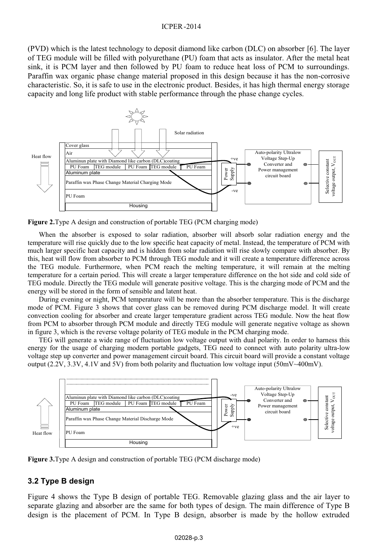#### ICPER -2014

(PVD) which is the latest technology to deposit diamond like carbon (DLC) on absorber [6]. The layer of TEG module will be filled with polyurethane (PU) foam that acts as insulator. After the metal heat sink, it is PCM layer and then followed by PU foam to reduce heat loss of PCM to surroundings. Paraffin wax organic phase change material proposed in this design because it has the non-corrosive characteristic. So, it is safe to use in the electronic product. Besides, it has high thermal energy storage capacity and long life product with stable performance through the phase change cycles.



**Figure 2.**Type A design and construction of portable TEG (PCM charging mode)

When the absorber is exposed to solar radiation, absorber will absorb solar radiation energy and the temperature will rise quickly due to the low specific heat capacity of metal. Instead, the temperature of PCM with much larger specific heat capacity and is hidden from solar radiation will rise slowly compare with absorber. By this, heat will flow from absorber to PCM through TEG module and it will create a temperature difference across the TEG module. Furthermore, when PCM reach the melting temperature, it will remain at the melting temperature for a certain period. This will create a larger temperature difference on the hot side and cold side of TEG module. Directly the TEG module will generate positive voltage. This is the charging mode of PCM and the energy will be stored in the form of sensible and latent heat.

During evening or night, PCM temperature will be more than the absorber temperature. This is the discharge mode of PCM. Figure 3 shows that cover glass can be removed during PCM discharge model. It will create convection cooling for absorber and create larger temperature gradient across TEG module. Now the heat flow from PCM to absorber through PCM module and directly TEG module will generate negative voltage as shown in figure 3, which is the reverse voltage polarity of TEG module in the PCM charging mode.

TEG will generate a wide range of fluctuation low voltage output with dual polarity. In order to harness this energy for the usage of charging modern portable gadgets, TEG need to connect with auto polarity ultra-low voltage step up converter and power management circuit board. This circuit board will provide a constant voltage output (2.2V, 3.3V, 4.1V and 5V) from both polarity and fluctuation low voltage input (50mV~400mV).



**Figure 3.**Type A design and construction of portable TEG (PCM discharge mode)

### **3.2 Type B design**

Figure 4 shows the Type B design of portable TEG. Removable glazing glass and the air layer to separate glazing and absorber are the same for both types of design. The main difference of Type B design is the placement of PCM. In Type B design, absorber is made by the hollow extruded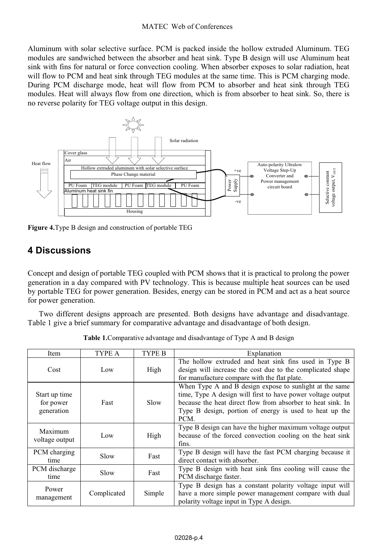### MATEC Web of Conferences

Aluminum with solar selective surface. PCM is packed inside the hollow extruded Aluminum. TEG modules are sandwiched between the absorber and heat sink. Type B design will use Aluminum heat sink with fins for natural or force convection cooling. When absorber exposes to solar radiation, heat will flow to PCM and heat sink through TEG modules at the same time. This is PCM charging mode. During PCM discharge mode, heat will flow from PCM to absorber and heat sink through TEG modules. Heat will always flow from one direction, which is from absorber to heat sink. So, there is no reverse polarity for TEG voltage output in this design.



**Figure 4.**Type B design and construction of portable TEG

### **4 Discussions**

Concept and design of portable TEG coupled with PCM shows that it is practical to prolong the power generation in a day compared with PV technology. This is because multiple heat sources can be used by portable TEG for power generation. Besides, energy can be stored in PCM and act as a heat source for power generation.

Two different designs approach are presented. Both designs have advantage and disadvantage. Table 1 give a brief summary for comparative advantage and disadvantage of both design.

| Item                                     | TYPE A      | TYPE B | Explanation                                                                                                                                                                                                                                              |
|------------------------------------------|-------------|--------|----------------------------------------------------------------------------------------------------------------------------------------------------------------------------------------------------------------------------------------------------------|
| Cost                                     | Low         | High   | The hollow extruded and heat sink fins used in Type B<br>design will increase the cost due to the complicated shape<br>for manufacture compare with the flat plate.                                                                                      |
| Start up time<br>for power<br>generation | Fast        | Slow   | When Type A and B design expose to sunlight at the same<br>time, Type A design will first to have power voltage output<br>because the heat direct flow from absorber to heat sink. In<br>Type B design, portion of energy is used to heat up the<br>PCM. |
| Maximum<br>voltage output                | Low         | High   | Type B design can have the higher maximum voltage output<br>because of the forced convection cooling on the heat sink<br>fins.                                                                                                                           |
| PCM charging<br>time                     | Slow        | Fast   | Type B design will have the fast PCM charging because it<br>direct contact with absorber.                                                                                                                                                                |
| PCM discharge<br>time                    | Slow        | Fast   | Type B design with heat sink fins cooling will cause the<br>PCM discharge faster.                                                                                                                                                                        |
| Power<br>management                      | Complicated | Simple | Type B design has a constant polarity voltage input will<br>have a more simple power management compare with dual<br>polarity voltage input in Type A design.                                                                                            |

**Table 1.**Comparative advantage and disadvantage of Type A and B design